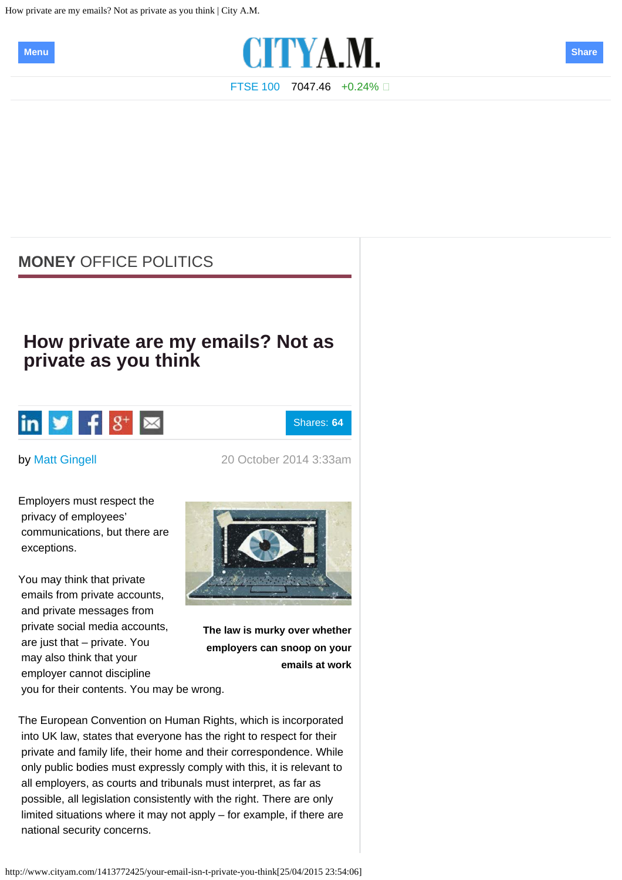<span id="page-0-0"></span>How private are my emails? Not as private as you think | City A.M.





[FTSE 100](http://www.cityam.com/ftse-100) 7047.46 +0.24%

# **[MONEY](http://www.cityam.com/money?ITO=nav-crumb-money)** [OFFICE POLITICS](http://www.cityam.com/money/office-politics?ITO=nav-crumb-money-office-politics)

# **How private are my emails? Not as private as you think**



Shares: **64**

by [Matt Gingell](http://www.cityam.com/profile/matt-gingell) 20 October 2014 3:33am

Employers must respect the privacy of employees' communications, but there are exceptions.

You may think that private emails from private accounts, and private messages from private social media accounts, are just that – private. You may also think that your employer cannot discipline you for their contents. You may be wrong.



**The law is murky over whether employers can snoop on your emails at work**

The European Convention on Human Rights, which is incorporated into UK law, states that everyone has the right to respect for their private and family life, their home and their correspondence. While only public bodies must expressly comply with this, it is relevant to all employers, as courts and tribunals must interpret, as far as possible, all legislation consistently with the right. There are only limited situations where it may not apply – for example, if there are national security concerns.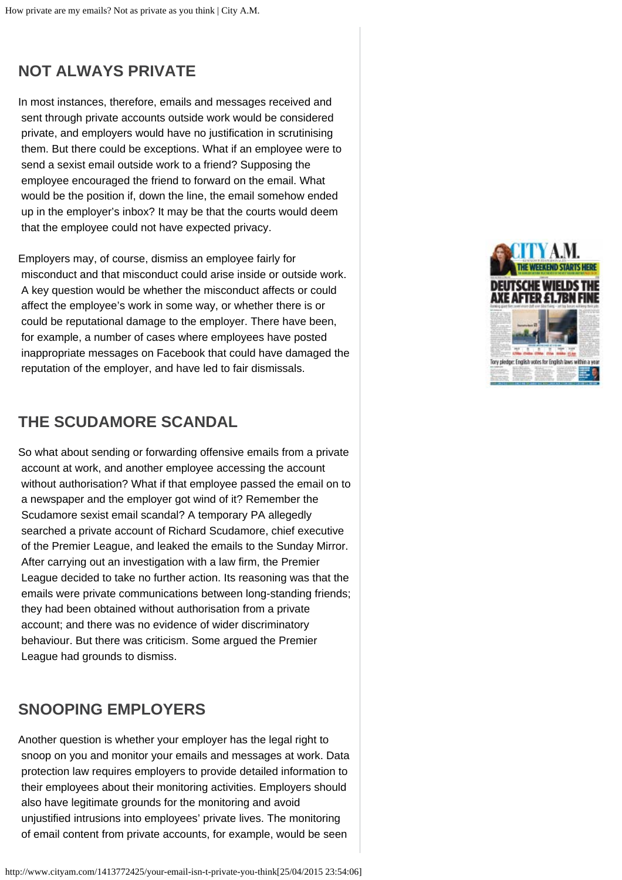# **NOT ALWAYS PRIVATE**

In most instances, therefore, emails and messages received and sent through private accounts outside work would be considered private, and employers would have no justification in scrutinising them. But there could be exceptions. What if an employee were to send a sexist email outside work to a friend? Supposing the employee encouraged the friend to forward on the email. What would be the position if, down the line, the email somehow ended up in the employer's inbox? It may be that the courts would deem that the employee could not have expected privacy.

Employers may, of course, dismiss an employee fairly for misconduct and that misconduct could arise inside or outside work. A key question would be whether the misconduct affects or could affect the employee's work in some way, or whether there is or could be reputational damage to the employer. There have been, for example, a number of cases where employees have posted inappropriate messages on Facebook that could have damaged the reputation of the employer, and have led to fair dismissals.

# **THE SCUDAMORE SCANDAL**

So what about sending or forwarding offensive emails from a private account at work, and another employee accessing the account without authorisation? What if that employee passed the email on to a newspaper and the employer got wind of it? Remember the Scudamore sexist email scandal? A temporary PA allegedly searched a private account of Richard Scudamore, chief executive of the Premier League, and leaked the emails to the Sunday Mirror. After carrying out an investigation with a law firm, the Premier League decided to take no further action. Its reasoning was that the emails were private communications between long-standing friends; they had been obtained without authorisation from a private account; and there was no evidence of wider discriminatory behaviour. But there was criticism. Some argued the Premier League had grounds to dismiss.

#### **SNOOPING EMPLOYERS**

Another question is whether your employer has the legal right to snoop on you and monitor your emails and messages at work. Data protection law requires employers to provide detailed information to their employees about their monitoring activities. Employers should also have legitimate grounds for the monitoring and avoid unjustified intrusions into employees' private lives. The monitoring of email content from private accounts, for example, would be seen